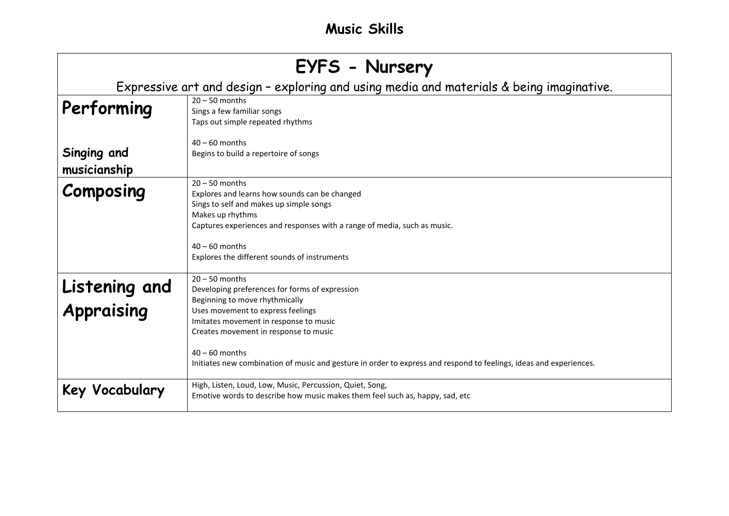# **EYFS - Nursery**

Expressive art and design – exploring and using media and materials & being imaginative.

| Performing                  | $20 - 50$ months<br>Sings a few familiar songs<br>Taps out simple repeated rhythms                                                                                                                                                                                                 |
|-----------------------------|------------------------------------------------------------------------------------------------------------------------------------------------------------------------------------------------------------------------------------------------------------------------------------|
| Singing and<br>musicianship | $40 - 60$ months<br>Begins to build a repertoire of songs                                                                                                                                                                                                                          |
| Composing                   | $20 - 50$ months<br>Explores and learns how sounds can be changed<br>Sings to self and makes up simple songs<br>Makes up rhythms<br>Captures experiences and responses with a range of media, such as music.<br>$40 - 60$ months<br>Explores the different sounds of instruments   |
| Listening and<br>Appraising | $20 - 50$ months<br>Developing preferences for forms of expression<br>Beginning to move rhythmically<br>Uses movement to express feelings<br>Imitates movement in response to music<br>Creates movement in response to music                                                       |
| Key Vocabulary              | $40 - 60$ months<br>Initiates new combination of music and gesture in order to express and respond to feelings, ideas and experiences.<br>High, Listen, Loud, Low, Music, Percussion, Quiet, Song,<br>Emotive words to describe how music makes them feel such as, happy, sad, etc |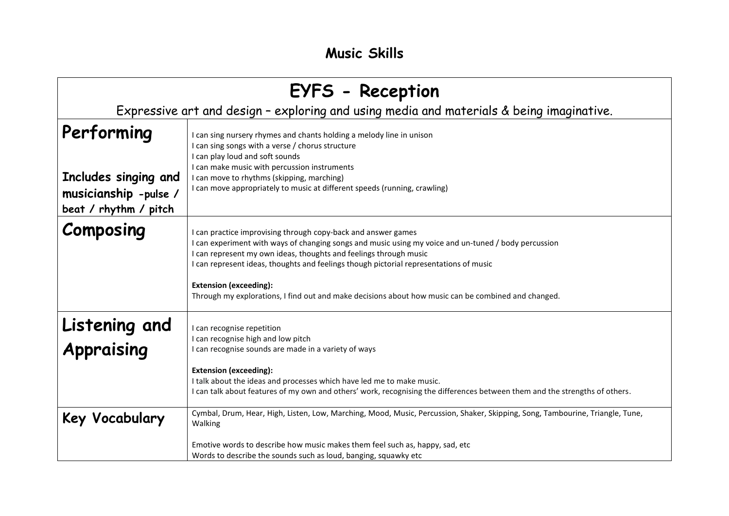| EYFS - Reception                                                                         |                                                                                                                                                                                                                                                                                                                                                                                                                                                                      |
|------------------------------------------------------------------------------------------|----------------------------------------------------------------------------------------------------------------------------------------------------------------------------------------------------------------------------------------------------------------------------------------------------------------------------------------------------------------------------------------------------------------------------------------------------------------------|
| Expressive art and design - exploring and using media and materials & being imaginative. |                                                                                                                                                                                                                                                                                                                                                                                                                                                                      |
| Performing<br>Includes singing and<br>musicianship -pulse /<br>beat / rhythm / pitch     | can sing nursery rhymes and chants holding a melody line in unison<br>can sing songs with a verse / chorus structure<br>can play loud and soft sounds<br>I can make music with percussion instruments<br>I can move to rhythms (skipping, marching)<br>I can move appropriately to music at different speeds (running, crawling)                                                                                                                                     |
| Composing                                                                                | can practice improvising through copy-back and answer games<br>can experiment with ways of changing songs and music using my voice and un-tuned / body percussion<br>can represent my own ideas, thoughts and feelings through music<br>can represent ideas, thoughts and feelings though pictorial representations of music<br><b>Extension (exceeding):</b><br>Through my explorations, I find out and make decisions about how music can be combined and changed. |
| Listening and<br>Appraising                                                              | I can recognise repetition<br>can recognise high and low pitch<br>can recognise sounds are made in a variety of ways<br><b>Extension (exceeding):</b><br>I talk about the ideas and processes which have led me to make music.<br>I can talk about features of my own and others' work, recognising the differences between them and the strengths of others.                                                                                                        |
| Key Vocabulary                                                                           | Cymbal, Drum, Hear, High, Listen, Low, Marching, Mood, Music, Percussion, Shaker, Skipping, Song, Tambourine, Triangle, Tune,<br>Walking<br>Emotive words to describe how music makes them feel such as, happy, sad, etc<br>Words to describe the sounds such as loud, banging, squawky etc                                                                                                                                                                          |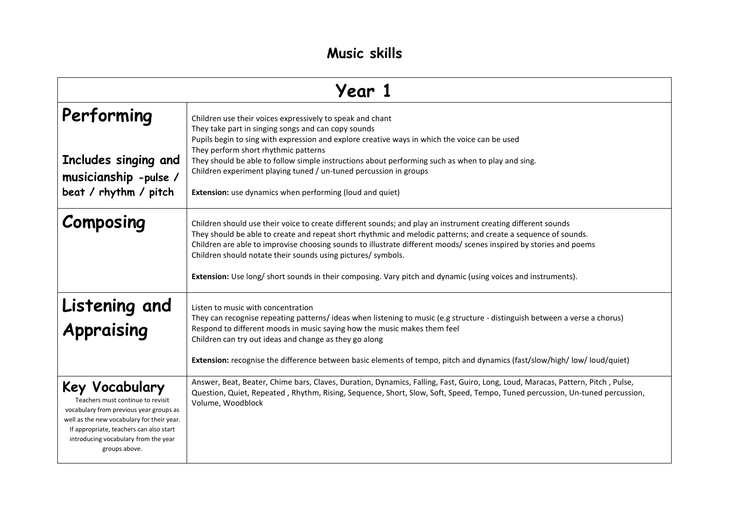| Year 1                                                                                                                                                                                                                                           |                                                                                                                                                                                                                                                                                                                                                                                                                                                                                                                                      |
|--------------------------------------------------------------------------------------------------------------------------------------------------------------------------------------------------------------------------------------------------|--------------------------------------------------------------------------------------------------------------------------------------------------------------------------------------------------------------------------------------------------------------------------------------------------------------------------------------------------------------------------------------------------------------------------------------------------------------------------------------------------------------------------------------|
| Performing<br>Includes singing and<br>musicianship -pulse /<br>beat / rhythm / pitch                                                                                                                                                             | Children use their voices expressively to speak and chant<br>They take part in singing songs and can copy sounds<br>Pupils begin to sing with expression and explore creative ways in which the voice can be used<br>They perform short rhythmic patterns<br>They should be able to follow simple instructions about performing such as when to play and sing.<br>Children experiment playing tuned / un-tuned percussion in groups<br>Extension: use dynamics when performing (loud and quiet)                                      |
| Composing                                                                                                                                                                                                                                        | Children should use their voice to create different sounds; and play an instrument creating different sounds<br>They should be able to create and repeat short rhythmic and melodic patterns; and create a sequence of sounds.<br>Children are able to improvise choosing sounds to illustrate different moods/ scenes inspired by stories and poems<br>Children should notate their sounds using pictures/ symbols.<br>Extension: Use long/ short sounds in their composing. Vary pitch and dynamic (using voices and instruments). |
| Listening and<br>Appraising                                                                                                                                                                                                                      | Listen to music with concentration<br>They can recognise repeating patterns/ideas when listening to music (e.g structure - distinguish between a verse a chorus)<br>Respond to different moods in music saying how the music makes them feel<br>Children can try out ideas and change as they go along<br>Extension: recognise the difference between basic elements of tempo, pitch and dynamics (fast/slow/high/low/loud/quiet)                                                                                                    |
| Key Vocabulary<br>Teachers must continue to revisit<br>vocabulary from previous year groups as<br>well as the new vocabulary for their year.<br>If appropriate, teachers can also start<br>introducing vocabulary from the year<br>groups above. | Answer, Beat, Beater, Chime bars, Claves, Duration, Dynamics, Falling, Fast, Guiro, Long, Loud, Maracas, Pattern, Pitch, Pulse,<br>Question, Quiet, Repeated, Rhythm, Rising, Sequence, Short, Slow, Soft, Speed, Tempo, Tuned percussion, Un-tuned percussion,<br>Volume, Woodblock                                                                                                                                                                                                                                                 |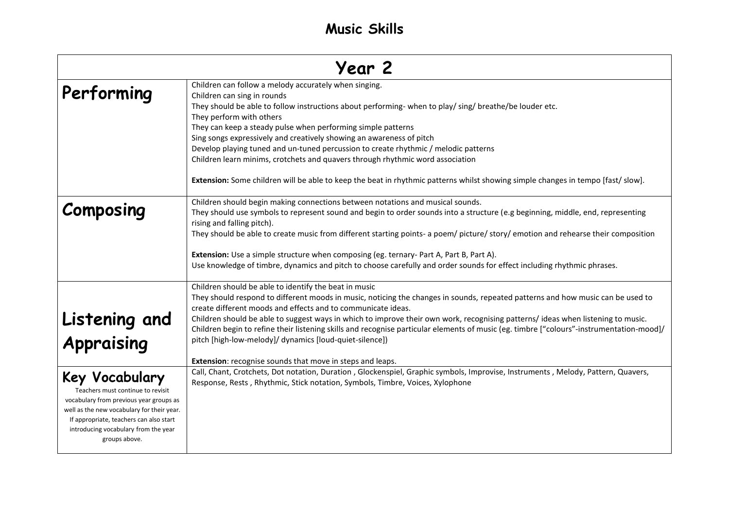| Year 2                                                                                                                                                                                                                                           |                                                                                                                                                                                                                                                                                                                                                                                                                                                                                                                                                                                                                                                                                  |
|--------------------------------------------------------------------------------------------------------------------------------------------------------------------------------------------------------------------------------------------------|----------------------------------------------------------------------------------------------------------------------------------------------------------------------------------------------------------------------------------------------------------------------------------------------------------------------------------------------------------------------------------------------------------------------------------------------------------------------------------------------------------------------------------------------------------------------------------------------------------------------------------------------------------------------------------|
| Performing                                                                                                                                                                                                                                       | Children can follow a melody accurately when singing.<br>Children can sing in rounds<br>They should be able to follow instructions about performing- when to play/ sing/ breathe/be louder etc.<br>They perform with others<br>They can keep a steady pulse when performing simple patterns<br>Sing songs expressively and creatively showing an awareness of pitch<br>Develop playing tuned and un-tuned percussion to create rhythmic / melodic patterns<br>Children learn minims, crotchets and quavers through rhythmic word association<br>Extension: Some children will be able to keep the beat in rhythmic patterns whilst showing simple changes in tempo [fast/ slow]. |
| Composing                                                                                                                                                                                                                                        | Children should begin making connections between notations and musical sounds.<br>They should use symbols to represent sound and begin to order sounds into a structure (e.g beginning, middle, end, representing<br>rising and falling pitch).<br>They should be able to create music from different starting points- a poem/ picture/ story/ emotion and rehearse their composition<br>Extension: Use a simple structure when composing (eg. ternary- Part A, Part B, Part A).<br>Use knowledge of timbre, dynamics and pitch to choose carefully and order sounds for effect including rhythmic phrases.                                                                      |
| Listening and<br>Appraising                                                                                                                                                                                                                      | Children should be able to identify the beat in music<br>They should respond to different moods in music, noticing the changes in sounds, repeated patterns and how music can be used to<br>create different moods and effects and to communicate ideas.<br>Children should be able to suggest ways in which to improve their own work, recognising patterns/ideas when listening to music.<br>Children begin to refine their listening skills and recognise particular elements of music (eg. timbre ["colours"-instrumentation-mood]/<br>pitch [high-low-melody]/ dynamics [loud-quiet-silence])<br><b>Extension:</b> recognise sounds that move in steps and leaps.           |
| Key Vocabulary<br>Teachers must continue to revisit<br>vocabulary from previous year groups as<br>well as the new vocabulary for their year.<br>If appropriate, teachers can also start<br>introducing vocabulary from the year<br>groups above. | Call, Chant, Crotchets, Dot notation, Duration, Glockenspiel, Graphic symbols, Improvise, Instruments, Melody, Pattern, Quavers,<br>Response, Rests, Rhythmic, Stick notation, Symbols, Timbre, Voices, Xylophone                                                                                                                                                                                                                                                                                                                                                                                                                                                                |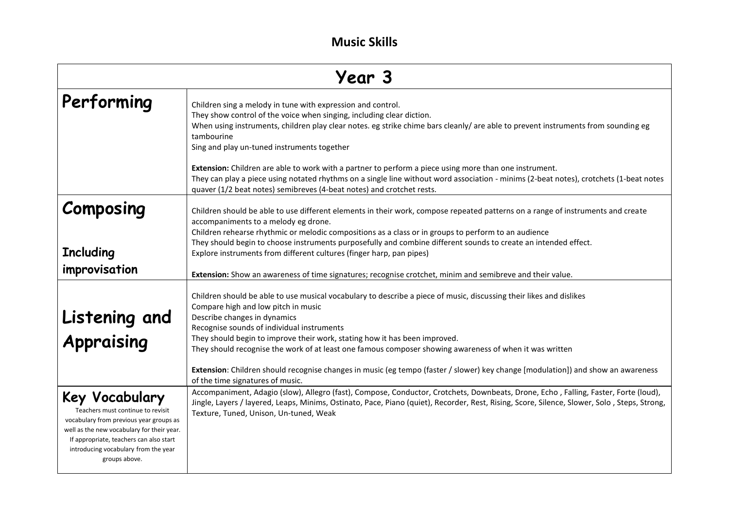| <b>Year 3</b>                                                                                                                                                                                                                                    |                                                                                                                                                                                                                                                                                                                                                                                                                                                                                                                                                                                                                                                                                                                        |
|--------------------------------------------------------------------------------------------------------------------------------------------------------------------------------------------------------------------------------------------------|------------------------------------------------------------------------------------------------------------------------------------------------------------------------------------------------------------------------------------------------------------------------------------------------------------------------------------------------------------------------------------------------------------------------------------------------------------------------------------------------------------------------------------------------------------------------------------------------------------------------------------------------------------------------------------------------------------------------|
| Performing                                                                                                                                                                                                                                       | Children sing a melody in tune with expression and control.<br>They show control of the voice when singing, including clear diction.<br>When using instruments, children play clear notes. eg strike chime bars cleanly/ are able to prevent instruments from sounding eg<br>tambourine<br>Sing and play un-tuned instruments together<br>Extension: Children are able to work with a partner to perform a piece using more than one instrument.<br>They can play a piece using notated rhythms on a single line without word association - minims (2-beat notes), crotchets (1-beat notes<br>quaver (1/2 beat notes) semibreves (4-beat notes) and crotchet rests.                                                    |
| Composing<br><b>Including</b><br>improvisation                                                                                                                                                                                                   | Children should be able to use different elements in their work, compose repeated patterns on a range of instruments and create<br>accompaniments to a melody eg drone.<br>Children rehearse rhythmic or melodic compositions as a class or in groups to perform to an audience<br>They should begin to choose instruments purposefully and combine different sounds to create an intended effect.<br>Explore instruments from different cultures (finger harp, pan pipes)                                                                                                                                                                                                                                             |
| Listening and<br>Appraising                                                                                                                                                                                                                      | Extension: Show an awareness of time signatures; recognise crotchet, minim and semibreve and their value.<br>Children should be able to use musical vocabulary to describe a piece of music, discussing their likes and dislikes<br>Compare high and low pitch in music<br>Describe changes in dynamics<br>Recognise sounds of individual instruments<br>They should begin to improve their work, stating how it has been improved.<br>They should recognise the work of at least one famous composer showing awareness of when it was written<br>Extension: Children should recognise changes in music (eg tempo (faster / slower) key change [modulation]) and show an awareness<br>of the time signatures of music. |
| Key Vocabulary<br>Teachers must continue to revisit<br>vocabulary from previous year groups as<br>well as the new vocabulary for their year.<br>If appropriate, teachers can also start<br>introducing vocabulary from the year<br>groups above. | Accompaniment, Adagio (slow), Allegro (fast), Compose, Conductor, Crotchets, Downbeats, Drone, Echo, Falling, Faster, Forte (loud),<br>Jingle, Layers / layered, Leaps, Minims, Ostinato, Pace, Piano (quiet), Recorder, Rest, Rising, Score, Silence, Slower, Solo, Steps, Strong,<br>Texture, Tuned, Unison, Un-tuned, Weak                                                                                                                                                                                                                                                                                                                                                                                          |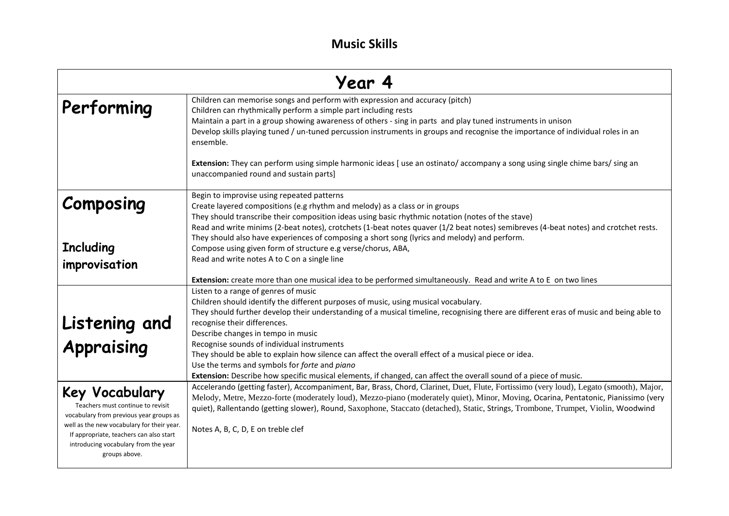| Year 4                                                                                                                                                                                                                                           |                                                                                                                                                                                                                                                                                                                                                                                                                                                                                                                                                                                                                                                                                                                                                                                           |
|--------------------------------------------------------------------------------------------------------------------------------------------------------------------------------------------------------------------------------------------------|-------------------------------------------------------------------------------------------------------------------------------------------------------------------------------------------------------------------------------------------------------------------------------------------------------------------------------------------------------------------------------------------------------------------------------------------------------------------------------------------------------------------------------------------------------------------------------------------------------------------------------------------------------------------------------------------------------------------------------------------------------------------------------------------|
| Performing                                                                                                                                                                                                                                       | Children can memorise songs and perform with expression and accuracy (pitch)<br>Children can rhythmically perform a simple part including rests<br>Maintain a part in a group showing awareness of others - sing in parts and play tuned instruments in unison<br>Develop skills playing tuned / un-tuned percussion instruments in groups and recognise the importance of individual roles in an<br>ensemble.                                                                                                                                                                                                                                                                                                                                                                            |
|                                                                                                                                                                                                                                                  | Extension: They can perform using simple harmonic ideas [use an ostinato/ accompany a song using single chime bars/ sing an<br>unaccompanied round and sustain parts]                                                                                                                                                                                                                                                                                                                                                                                                                                                                                                                                                                                                                     |
| Composing                                                                                                                                                                                                                                        | Begin to improvise using repeated patterns<br>Create layered compositions (e.g rhythm and melody) as a class or in groups<br>They should transcribe their composition ideas using basic rhythmic notation (notes of the stave)<br>Read and write minims (2-beat notes), crotchets (1-beat notes quaver (1/2 beat notes) semibreves (4-beat notes) and crotchet rests.<br>They should also have experiences of composing a short song (lyrics and melody) and perform.                                                                                                                                                                                                                                                                                                                     |
| <b>Including</b><br>improvisation                                                                                                                                                                                                                | Compose using given form of structure e.g verse/chorus, ABA,<br>Read and write notes A to C on a single line                                                                                                                                                                                                                                                                                                                                                                                                                                                                                                                                                                                                                                                                              |
| Listening and<br>Appraising                                                                                                                                                                                                                      | Extension: create more than one musical idea to be performed simultaneously. Read and write A to E on two lines<br>Listen to a range of genres of music<br>Children should identify the different purposes of music, using musical vocabulary.<br>They should further develop their understanding of a musical timeline, recognising there are different eras of music and being able to<br>recognise their differences.<br>Describe changes in tempo in music<br>Recognise sounds of individual instruments<br>They should be able to explain how silence can affect the overall effect of a musical piece or idea.<br>Use the terms and symbols for forte and piano<br>Extension: Describe how specific musical elements, if changed, can affect the overall sound of a piece of music. |
| Key Vocabulary<br>Teachers must continue to revisit<br>vocabulary from previous year groups as<br>well as the new vocabulary for their year.<br>If appropriate, teachers can also start<br>introducing vocabulary from the year<br>groups above. | Accelerando (getting faster), Accompaniment, Bar, Brass, Chord, Clarinet, Duet, Flute, Fortissimo (very loud), Legato (smooth), Major,<br>Melody, Metre, Mezzo-forte (moderately loud), Mezzo-piano (moderately quiet), Minor, Moving, Ocarina, Pentatonic, Pianissimo (very<br>quiet), Rallentando (getting slower), Round, Saxophone, Staccato (detached), Static, Strings, Trombone, Trumpet, Violin, Woodwind<br>Notes A, B, C, D, E on treble clef                                                                                                                                                                                                                                                                                                                                   |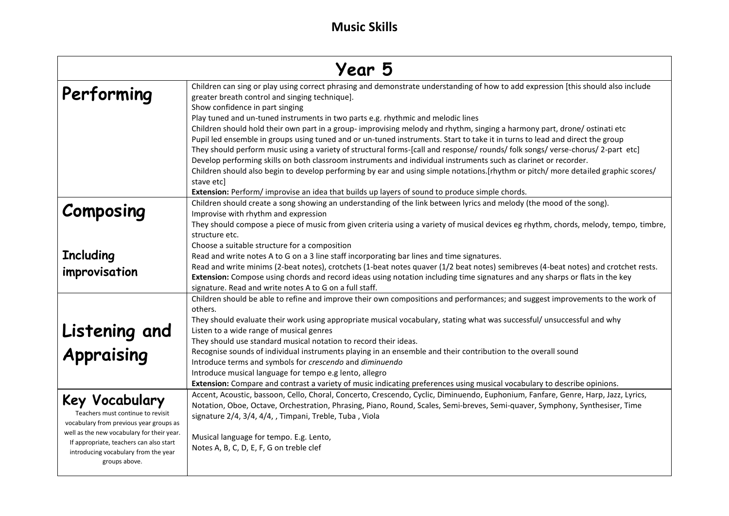| Year 5                                                                                                                                                                                                                                           |                                                                                                                                                                                                                                                                                                                                                                                                                                                                                                                                                                                                                                                                                                                                                                                                                                                                                                                                                                                                                                                                                   |
|--------------------------------------------------------------------------------------------------------------------------------------------------------------------------------------------------------------------------------------------------|-----------------------------------------------------------------------------------------------------------------------------------------------------------------------------------------------------------------------------------------------------------------------------------------------------------------------------------------------------------------------------------------------------------------------------------------------------------------------------------------------------------------------------------------------------------------------------------------------------------------------------------------------------------------------------------------------------------------------------------------------------------------------------------------------------------------------------------------------------------------------------------------------------------------------------------------------------------------------------------------------------------------------------------------------------------------------------------|
| Performing                                                                                                                                                                                                                                       | Children can sing or play using correct phrasing and demonstrate understanding of how to add expression [this should also include<br>greater breath control and singing technique].<br>Show confidence in part singing<br>Play tuned and un-tuned instruments in two parts e.g. rhythmic and melodic lines<br>Children should hold their own part in a group-improvising melody and rhythm, singing a harmony part, drone/ostinati etc<br>Pupil led ensemble in groups using tuned and or un-tuned instruments. Start to take it in turns to lead and direct the group<br>They should perform music using a variety of structural forms-[call and response/ rounds/ folk songs/ verse-chorus/ 2-part etc]<br>Develop performing skills on both classroom instruments and individual instruments such as clarinet or recorder.<br>Children should also begin to develop performing by ear and using simple notations.[rhythm or pitch/more detailed graphic scores/<br>stave etcl<br>Extension: Perform/improvise an idea that builds up layers of sound to produce simple chords. |
| Composing<br><b>Including</b><br>improvisation                                                                                                                                                                                                   | Children should create a song showing an understanding of the link between lyrics and melody (the mood of the song).<br>Improvise with rhythm and expression<br>They should compose a piece of music from given criteria using a variety of musical devices eg rhythm, chords, melody, tempo, timbre,<br>structure etc.<br>Choose a suitable structure for a composition<br>Read and write notes A to G on a 3 line staff incorporating bar lines and time signatures.<br>Read and write minims (2-beat notes), crotchets (1-beat notes quaver (1/2 beat notes) semibreves (4-beat notes) and crotchet rests.<br>Extension: Compose using chords and record ideas using notation including time signatures and any sharps or flats in the key                                                                                                                                                                                                                                                                                                                                     |
| Listening and<br>Appraising                                                                                                                                                                                                                      | signature. Read and write notes A to G on a full staff.<br>Children should be able to refine and improve their own compositions and performances; and suggest improvements to the work of<br>others.<br>They should evaluate their work using appropriate musical vocabulary, stating what was successful/ unsuccessful and why<br>Listen to a wide range of musical genres<br>They should use standard musical notation to record their ideas.<br>Recognise sounds of individual instruments playing in an ensemble and their contribution to the overall sound<br>Introduce terms and symbols for crescendo and diminuendo<br>Introduce musical language for tempo e.g lento, allegro<br>Extension: Compare and contrast a variety of music indicating preferences using musical vocabulary to describe opinions.                                                                                                                                                                                                                                                               |
| Key Vocabulary<br>Teachers must continue to revisit<br>vocabulary from previous year groups as<br>well as the new vocabulary for their year.<br>If appropriate, teachers can also start<br>introducing vocabulary from the year<br>groups above. | Accent, Acoustic, bassoon, Cello, Choral, Concerto, Crescendo, Cyclic, Diminuendo, Euphonium, Fanfare, Genre, Harp, Jazz, Lyrics,<br>Notation, Oboe, Octave, Orchestration, Phrasing, Piano, Round, Scales, Semi-breves, Semi-quaver, Symphony, Synthesiser, Time<br>signature 2/4, 3/4, 4/4, , Timpani, Treble, Tuba, Viola<br>Musical language for tempo. E.g. Lento,<br>Notes A, B, C, D, E, F, G on treble clef                                                                                                                                                                                                                                                                                                                                                                                                                                                                                                                                                                                                                                                               |